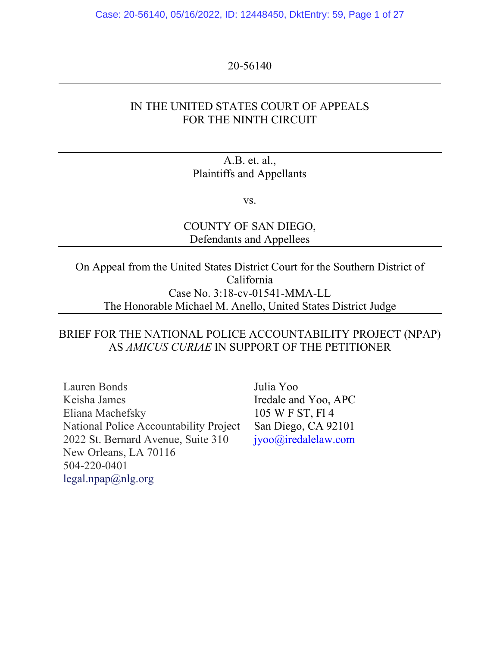Case: 20-56140, 05/16/2022, ID: 12448450, DktEntry: 59, Page 1 of 27

#### 20-56140

## IN THE UNITED STATES COURT OF APPEALS FOR THE NINTH CIRCUIT

### A.B. et. al., Plaintiffs and Appellants

vs.

COUNTY OF SAN DIEGO, Defendants and Appellees

On Appeal from the United States District Court for the Southern District of California Case No. 3:18-cv-01541-MMA-LL The Honorable Michael M. Anello, United States District Judge

## BRIEF FOR THE NATIONAL POLICE ACCOUNTABILITY PROJECT (NPAP) AS *AMICUS CURIAE* IN SUPPORT OF THE PETITIONER

Lauren Bonds Keisha James Eliana Machefsky National Police Accountability Project 2022 St. Bernard Avenue, Suite 310 New Orleans, LA 70116 504-220-0401 legal.npap@nlg.org

Julia Yoo Iredale and Yoo, APC 105 W F ST, Fl 4 San Diego, CA 92101 jyoo@iredalelaw.com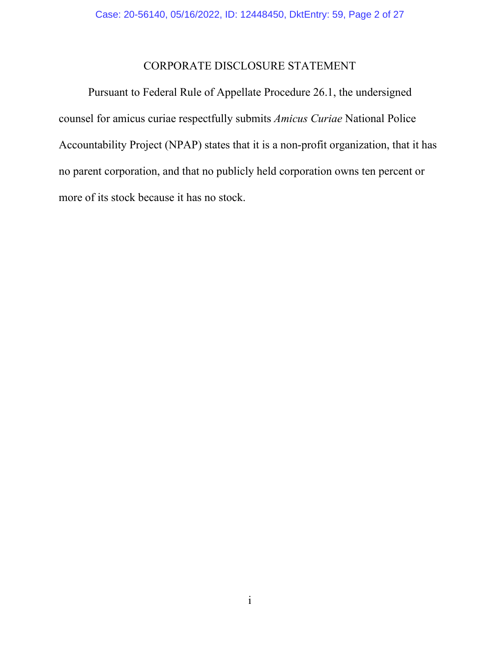## CORPORATE DISCLOSURE STATEMENT

Pursuant to Federal Rule of Appellate Procedure 26.1, the undersigned counsel for amicus curiae respectfully submits *Amicus Curiae* National Police Accountability Project (NPAP) states that it is a non-profit organization, that it has no parent corporation, and that no publicly held corporation owns ten percent or more of its stock because it has no stock.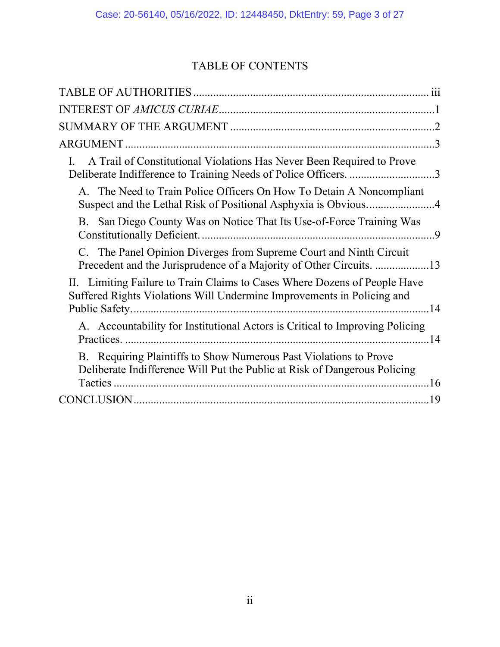# TABLE OF CONTENTS

| A Trail of Constitutional Violations Has Never Been Required to Prove<br>L.<br>Deliberate Indifference to Training Needs of Police Officers. 3      |
|-----------------------------------------------------------------------------------------------------------------------------------------------------|
| A. The Need to Train Police Officers On How To Detain A Noncompliant<br>Suspect and the Lethal Risk of Positional Asphyxia is Obvious4              |
| B. San Diego County Was on Notice That Its Use-of-Force Training Was                                                                                |
| C. The Panel Opinion Diverges from Supreme Court and Ninth Circuit<br>Precedent and the Jurisprudence of a Majority of Other Circuits. 13           |
| II. Limiting Failure to Train Claims to Cases Where Dozens of People Have<br>Suffered Rights Violations Will Undermine Improvements in Policing and |
| A. Accountability for Institutional Actors is Critical to Improving Policing                                                                        |
| B. Requiring Plaintiffs to Show Numerous Past Violations to Prove<br>Deliberate Indifference Will Put the Public at Risk of Dangerous Policing      |
|                                                                                                                                                     |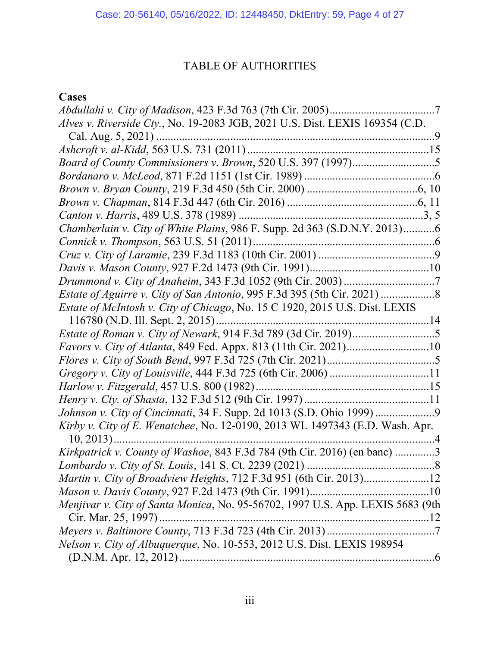## TABLE OF AUTHORITIES

# <span id="page-3-0"></span>**Cases**

| Alves v. Riverside Cty., No. 19-2083 JGB, 2021 U.S. Dist. LEXIS 169354 (C.D.   |
|--------------------------------------------------------------------------------|
|                                                                                |
|                                                                                |
|                                                                                |
|                                                                                |
|                                                                                |
|                                                                                |
|                                                                                |
| Chamberlain v. City of White Plains, 986 F. Supp. 2d 363 (S.D.N.Y. 2013)6      |
|                                                                                |
|                                                                                |
|                                                                                |
|                                                                                |
|                                                                                |
| Estate of McIntosh v. City of Chicago, No. 15 C 1920, 2015 U.S. Dist. LEXIS    |
|                                                                                |
|                                                                                |
| <i>Favors v. City of Atlanta</i> , 849 Fed. Appx. 813 (11th Cir. 2021)10       |
|                                                                                |
|                                                                                |
|                                                                                |
|                                                                                |
|                                                                                |
| Kirby v. City of E. Wenatchee, No. 12-0190, 2013 WL 1497343 (E.D. Wash. Apr.   |
| $10, 2013)$<br>. 4                                                             |
| Kirkpatrick v. County of Washoe, 843 F.3d 784 (9th Cir. 2016) (en banc) 3      |
|                                                                                |
| Martin v. City of Broadview Heights, 712 F.3d 951 (6th Cir. 2013)12            |
|                                                                                |
| Menjivar v. City of Santa Monica, No. 95-56702, 1997 U.S. App. LEXIS 5683 (9th |
| Cir. Mar. 25, 1997)                                                            |
|                                                                                |
| Nelson v. City of Albuquerque, No. 10-553, 2012 U.S. Dist. LEXIS 198954        |
|                                                                                |
|                                                                                |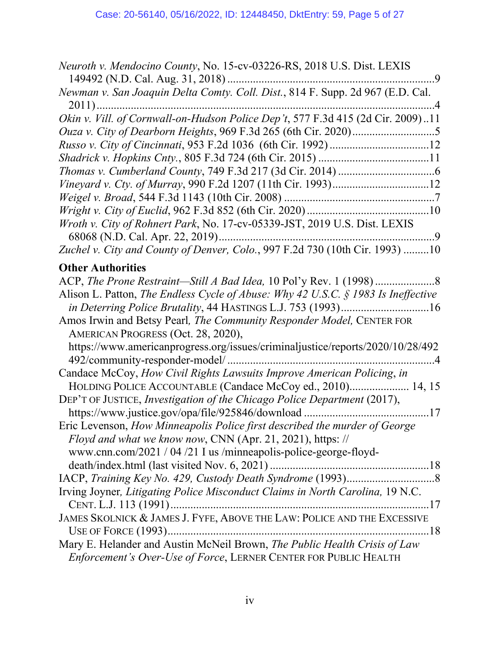| Neuroth v. Mendocino County, No. 15-cv-03226-RS, 2018 U.S. Dist. LEXIS                                      |
|-------------------------------------------------------------------------------------------------------------|
|                                                                                                             |
| Newman v. San Joaquin Delta Comty. Coll. Dist., 814 F. Supp. 2d 967 (E.D. Cal.                              |
| Okin v. Vill. of Cornwall-on-Hudson Police Dep't, 577 F.3d 415 (2d Cir. 2009)11                             |
|                                                                                                             |
|                                                                                                             |
|                                                                                                             |
|                                                                                                             |
|                                                                                                             |
|                                                                                                             |
|                                                                                                             |
| Wroth v. City of Rohnert Park, No. 17-cv-05339-JST, 2019 U.S. Dist. LEXIS                                   |
| Zuchel v. City and County of Denver, Colo., 997 F.2d 730 (10th Cir. 1993) 10                                |
|                                                                                                             |
| <b>Other Authorities</b>                                                                                    |
|                                                                                                             |
| Alison L. Patton, The Endless Cycle of Abuse: Why 42 U.S.C. $\S$ 1983 Is Ineffective                        |
| Amos Irwin and Betsy Pearl, The Community Responder Model, CENTER FOR<br>AMERICAN PROGRESS (Oct. 28, 2020), |
| https://www.americanprogress.org/issues/criminaljustice/reports/2020/10/28/492                              |
| Candace McCoy, How Civil Rights Lawsuits Improve American Policing, in                                      |
| HOLDING POLICE ACCOUNTABLE (Candace McCoy ed., 2010) 14, 15                                                 |
| DEP'T OF JUSTICE, Investigation of the Chicago Police Department (2017),                                    |
|                                                                                                             |
| Eric Levenson, How Minneapolis Police first described the murder of George                                  |
| Floyd and what we know now, CNN (Apr. 21, 2021), https: //                                                  |
| www.cnn.com/2021 / 04 /21 I us /minneapolis-police-george-floyd-                                            |
|                                                                                                             |
|                                                                                                             |
| Irving Joyner, Litigating Police Misconduct Claims in North Carolina, 19 N.C.                               |
|                                                                                                             |
| JAMES SKOLNICK & JAMES J. FYFE, ABOVE THE LAW: POLICE AND THE EXCESSIVE                                     |
|                                                                                                             |
| Mary E. Helander and Austin McNeil Brown, The Public Health Crisis of Law                                   |
| Enforcement's Over-Use of Force, LERNER CENTER FOR PUBLIC HEALTH                                            |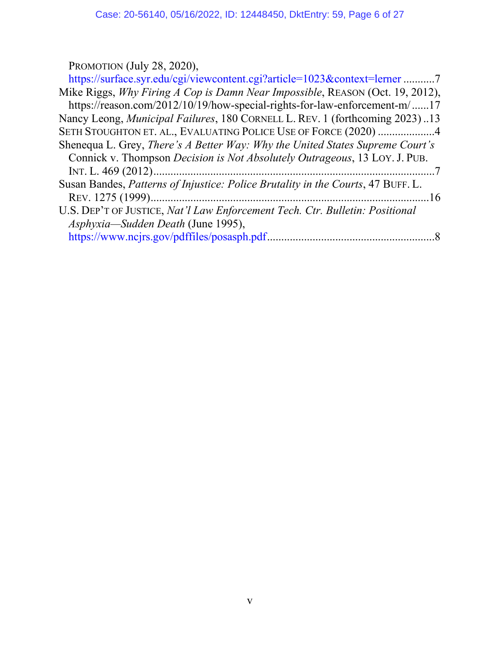PROMOTION (July 28, 2020),

| https://surface.syr.edu/cgi/viewcontent.cgi?article=1023&context=lerner7            |
|-------------------------------------------------------------------------------------|
| Mike Riggs, Why Firing A Cop is Damn Near Impossible, REASON (Oct. 19, 2012),       |
| https://reason.com/2012/10/19/how-special-rights-for-law-enforcement-m/17           |
| Nancy Leong, <i>Municipal Failures</i> , 180 CORNELL L. REV. 1 (forthcoming 2023)13 |
| SETH STOUGHTON ET. AL., EVALUATING POLICE USE OF FORCE (2020) 4                     |
| Shenequa L. Grey, There's A Better Way: Why the United States Supreme Court's       |
| Connick v. Thompson Decision is Not Absolutely Outrageous, 13 LOY. J. PUB.          |
|                                                                                     |
| Susan Bandes, Patterns of Injustice: Police Brutality in the Courts, 47 BUFF. L.    |
|                                                                                     |
| U.S. DEP'T OF JUSTICE, Nat'l Law Enforcement Tech. Ctr. Bulletin: Positional        |
| Asphyxia—Sudden Death (June 1995),                                                  |
|                                                                                     |
|                                                                                     |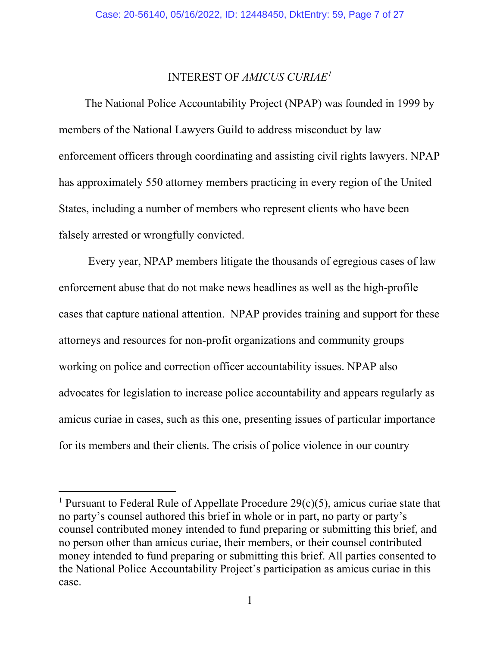#### INTEREST OF *AMICUS CURIAE[1](#page-6-1)*

<span id="page-6-0"></span>The National Police Accountability Project (NPAP) was founded in 1999 by members of the National Lawyers Guild to address misconduct by law enforcement officers through coordinating and assisting civil rights lawyers. NPAP has approximately 550 attorney members practicing in every region of the United States, including a number of members who represent clients who have been falsely arrested or wrongfully convicted.

Every year, NPAP members litigate the thousands of egregious cases of law enforcement abuse that do not make news headlines as well as the high-profile cases that capture national attention. NPAP provides training and support for these attorneys and resources for non-profit organizations and community groups working on police and correction officer accountability issues. NPAP also advocates for legislation to increase police accountability and appears regularly as amicus curiae in cases, such as this one, presenting issues of particular importance for its members and their clients. The crisis of police violence in our country

<span id="page-6-1"></span><sup>&</sup>lt;sup>1</sup> Pursuant to Federal Rule of Appellate Procedure  $29(c)(5)$ , amicus curiae state that no party's counsel authored this brief in whole or in part, no party or party's counsel contributed money intended to fund preparing or submitting this brief, and no person other than amicus curiae, their members, or their counsel contributed money intended to fund preparing or submitting this brief. All parties consented to the National Police Accountability Project's participation as amicus curiae in this case.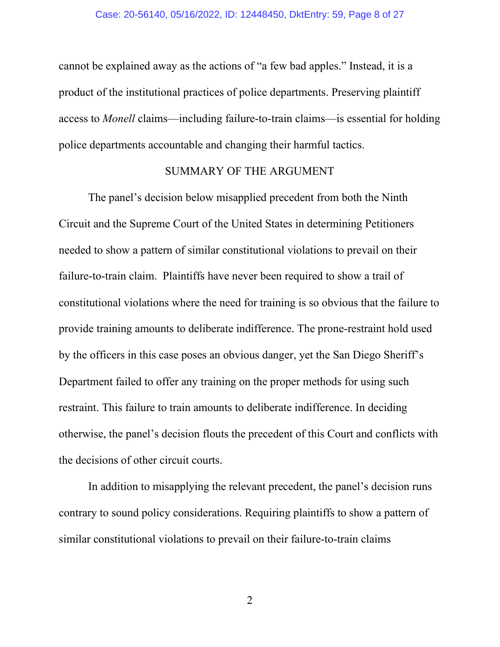cannot be explained away as the actions of "a few bad apples." Instead, it is a product of the institutional practices of police departments. Preserving plaintiff access to *Monell* claims—including failure-to-train claims—is essential for holding police departments accountable and changing their harmful tactics.

#### SUMMARY OF THE ARGUMENT

<span id="page-7-0"></span>The panel's decision below misapplied precedent from both the Ninth Circuit and the Supreme Court of the United States in determining Petitioners needed to show a pattern of similar constitutional violations to prevail on their failure-to-train claim. Plaintiffs have never been required to show a trail of constitutional violations where the need for training is so obvious that the failure to provide training amounts to deliberate indifference. The prone-restraint hold used by the officers in this case poses an obvious danger, yet the San Diego Sheriff's Department failed to offer any training on the proper methods for using such restraint. This failure to train amounts to deliberate indifference. In deciding otherwise, the panel's decision flouts the precedent of this Court and conflicts with the decisions of other circuit courts.

In addition to misapplying the relevant precedent, the panel's decision runs contrary to sound policy considerations. Requiring plaintiffs to show a pattern of similar constitutional violations to prevail on their failure-to-train claims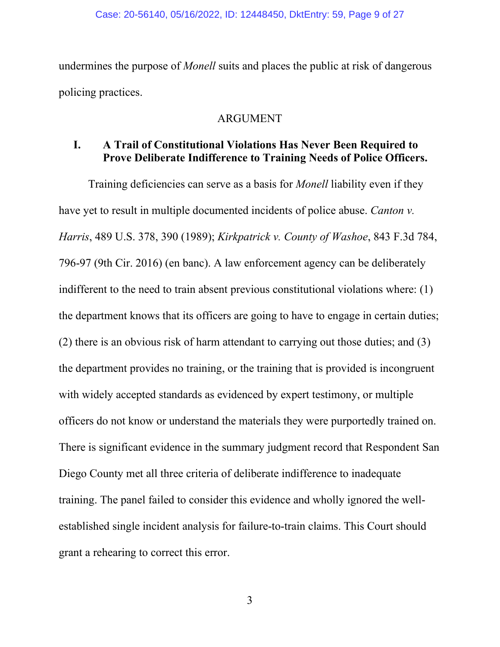undermines the purpose of *Monell* suits and places the public at risk of dangerous policing practices.

### ARGUMENT

## <span id="page-8-1"></span><span id="page-8-0"></span>**I. A Trail of Constitutional Violations Has Never Been Required to Prove Deliberate Indifference to Training Needs of Police Officers.**

Training deficiencies can serve as a basis for *Monell* liability even if they have yet to result in multiple documented incidents of police abuse. *Canton v. Harris*, 489 U.S. 378, 390 (1989); *Kirkpatrick v. County of Washoe*, 843 F.3d 784, 796-97 (9th Cir. 2016) (en banc). A law enforcement agency can be deliberately indifferent to the need to train absent previous constitutional violations where: (1) the department knows that its officers are going to have to engage in certain duties; (2) there is an obvious risk of harm attendant to carrying out those duties; and (3) the department provides no training, or the training that is provided is incongruent with widely accepted standards as evidenced by expert testimony, or multiple officers do not know or understand the materials they were purportedly trained on. There is significant evidence in the summary judgment record that Respondent San Diego County met all three criteria of deliberate indifference to inadequate training. The panel failed to consider this evidence and wholly ignored the wellestablished single incident analysis for failure-to-train claims. This Court should grant a rehearing to correct this error.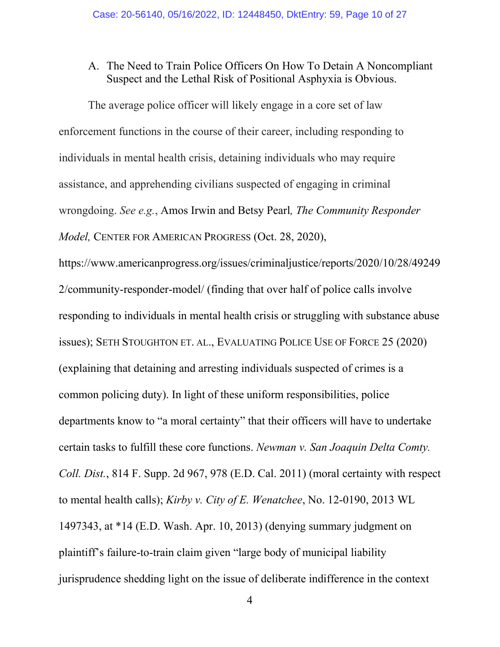### <span id="page-9-0"></span>A. The Need to Train Police Officers On How To Detain A Noncompliant Suspect and the Lethal Risk of Positional Asphyxia is Obvious.

The average police officer will likely engage in a core set of law enforcement functions in the course of their career, including responding to individuals in mental health crisis, detaining individuals who may require assistance, and apprehending civilians suspected of engaging in criminal wrongdoing. *See e.g.*, Amos Irwin and Betsy Pearl*, The Community Responder Model,* CENTER FOR AMERICAN PROGRESS (Oct. 28, 2020),

https://www.americanprogress.org/issues/criminaljustice/reports/2020/10/28/49249 2/community-responder-model/ (finding that over half of police calls involve responding to individuals in mental health crisis or struggling with substance abuse issues); SETH STOUGHTON ET. AL., EVALUATING POLICE USE OF FORCE 25 (2020) (explaining that detaining and arresting individuals suspected of crimes is a common policing duty). In light of these uniform responsibilities, police departments know to "a moral certainty" that their officers will have to undertake certain tasks to fulfill these core functions. *Newman v. San Joaquin Delta Comty. Coll. Dist.*, 814 F. Supp. 2d 967, 978 (E.D. Cal. 2011) (moral certainty with respect to mental health calls); *Kirby v. City of E. Wenatchee*, No. 12-0190, 2013 WL 1497343, at \*14 (E.D. Wash. Apr. 10, 2013) (denying summary judgment on plaintiff's failure-to-train claim given "large body of municipal liability jurisprudence shedding light on the issue of deliberate indifference in the context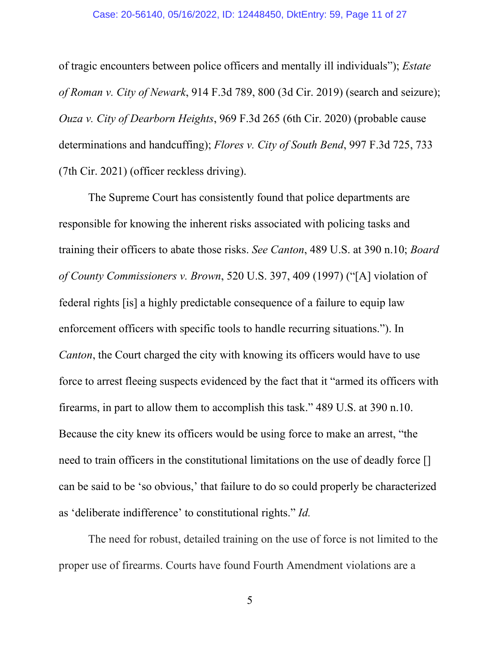#### Case: 20-56140, 05/16/2022, ID: 12448450, DktEntry: 59, Page 11 of 27

of tragic encounters between police officers and mentally ill individuals"); *Estate of Roman v. City of Newark*, 914 F.3d 789, 800 (3d Cir. 2019) (search and seizure); *Ouza v. City of Dearborn Heights*, 969 F.3d 265 (6th Cir. 2020) (probable cause determinations and handcuffing); *Flores v. City of South Bend*, 997 F.3d 725, 733 (7th Cir. 2021) (officer reckless driving).

The Supreme Court has consistently found that police departments are responsible for knowing the inherent risks associated with policing tasks and training their officers to abate those risks. *See Canton*, 489 U.S. at 390 n.10; *Board of County Commissioners v. Brown*, 520 U.S. 397, 409 (1997) ("[A] violation of federal rights [is] a highly predictable consequence of a failure to equip law enforcement officers with specific tools to handle recurring situations."). In *Canton*, the Court charged the city with knowing its officers would have to use force to arrest fleeing suspects evidenced by the fact that it "armed its officers with firearms, in part to allow them to accomplish this task." 489 U.S. at 390 n.10. Because the city knew its officers would be using force to make an arrest, "the need to train officers in the constitutional limitations on the use of deadly force [] can be said to be 'so obvious,' that failure to do so could properly be characterized as 'deliberate indifference' to constitutional rights." *Id.* 

The need for robust, detailed training on the use of force is not limited to the proper use of firearms. Courts have found Fourth Amendment violations are a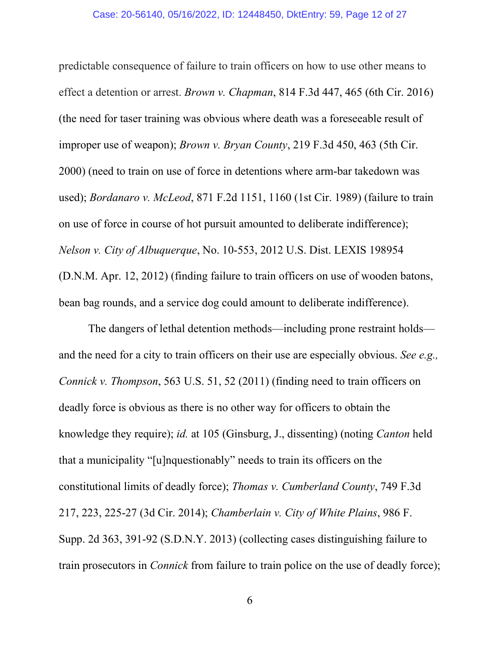predictable consequence of failure to train officers on how to use other means to effect a detention or arrest. *Brown v. Chapman*, 814 F.3d 447, 465 (6th Cir. 2016) (the need for taser training was obvious where death was a foreseeable result of improper use of weapon); *Brown v. Bryan County*, 219 F.3d 450, 463 (5th Cir. 2000) (need to train on use of force in detentions where arm-bar takedown was used); *Bordanaro v. McLeod*, 871 F.2d 1151, 1160 (1st Cir. 1989) (failure to train on use of force in course of hot pursuit amounted to deliberate indifference); *Nelson v. City of Albuquerque*, No. 10-553, 2012 U.S. Dist. LEXIS 198954 (D.N.M. Apr. 12, 2012) (finding failure to train officers on use of wooden batons, bean bag rounds, and a service dog could amount to deliberate indifference).

The dangers of lethal detention methods—including prone restraint holds and the need for a city to train officers on their use are especially obvious. *See e.g., Connick v. Thompson*, 563 U.S. 51, 52 (2011) (finding need to train officers on deadly force is obvious as there is no other way for officers to obtain the knowledge they require); *id.* at 105 (Ginsburg, J., dissenting) (noting *Canton* held that a municipality "[u]nquestionably" needs to train its officers on the constitutional limits of deadly force); *Thomas v. Cumberland County*, 749 F.3d 217, 223, 225-27 (3d Cir. 2014); *Chamberlain v. City of White Plains*, 986 F. Supp. 2d 363, 391-92 (S.D.N.Y. 2013) (collecting cases distinguishing failure to train prosecutors in *Connick* from failure to train police on the use of deadly force);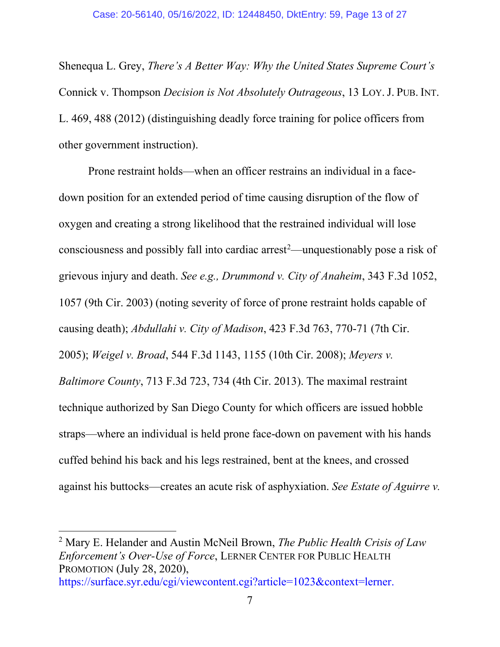Shenequa L. Grey, *There's A Better Way: Why the United States Supreme Court's*  Connick v. Thompson *Decision is Not Absolutely Outrageous*, 13 LOY.J. PUB. INT. L. 469, 488 (2012) (distinguishing deadly force training for police officers from other government instruction).

Prone restraint holds—when an officer restrains an individual in a facedown position for an extended period of time causing disruption of the flow of oxygen and creating a strong likelihood that the restrained individual will lose consciousness and possibly fall into cardiac arrest [2](#page-12-0) —unquestionably pose a risk of grievous injury and death. *See e.g., Drummond v. City of Anaheim*, 343 F.3d 1052, 1057 (9th Cir. 2003) (noting severity of force of prone restraint holds capable of causing death); *Abdullahi v. City of Madison*, 423 F.3d 763, 770-71 (7th Cir. 2005); *Weigel v. Broad*, 544 F.3d 1143, 1155 (10th Cir. 2008); *Meyers v. Baltimore County*, 713 F.3d 723, 734 (4th Cir. 2013). The maximal restraint technique authorized by San Diego County for which officers are issued hobble straps—where an individual is held prone face-down on pavement with his hands cuffed behind his back and his legs restrained, bent at the knees, and crossed against his buttocks—creates an acute risk of asphyxiation. *See Estate of Aguirre v.* 

<span id="page-12-0"></span><sup>2</sup> Mary E. Helander and Austin McNeil Brown, *The Public Health Crisis of Law Enforcement's Over-Use of Force*, LERNER CENTER FOR PUBLIC HEALTH PROMOTION (July 28, 2020),

https://surface.syr.edu/cgi/viewcontent.cgi?article=1023&context=lerner.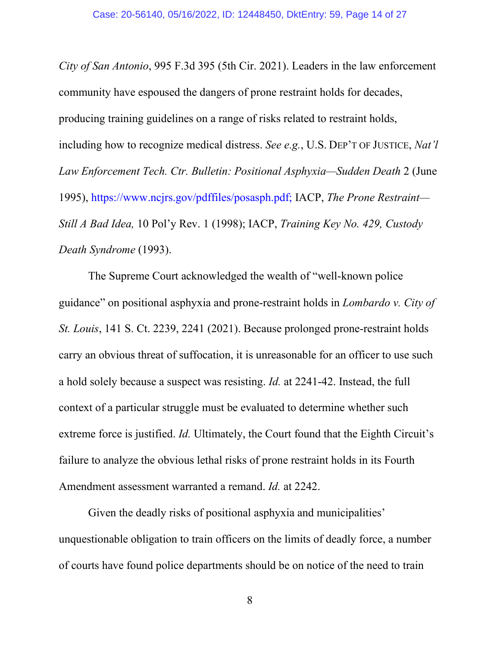*City of San Antonio*, 995 F.3d 395 (5th Cir. 2021). Leaders in the law enforcement community have espoused the dangers of prone restraint holds for decades, producing training guidelines on a range of risks related to restraint holds, including how to recognize medical distress. *See e.g.*, U.S. DEP'T OF JUSTICE, *Nat'l Law Enforcement Tech. Ctr. Bulletin: Positional Asphyxia—Sudden Death* 2 (June 1995), https://www.ncjrs.gov/pdffiles/posasph.pdf; IACP, *The Prone Restraint— Still A Bad Idea,* 10 Pol'y Rev. 1 (1998); IACP, *Training Key No. 429, Custody Death Syndrome* (1993).

The Supreme Court acknowledged the wealth of "well-known police guidance" on positional asphyxia and prone-restraint holds in *Lombardo v. City of St. Louis*, 141 S. Ct. 2239, 2241 (2021). Because prolonged prone-restraint holds carry an obvious threat of suffocation, it is unreasonable for an officer to use such a hold solely because a suspect was resisting. *Id.* at 2241-42. Instead, the full context of a particular struggle must be evaluated to determine whether such extreme force is justified. *Id.* Ultimately, the Court found that the Eighth Circuit's failure to analyze the obvious lethal risks of prone restraint holds in its Fourth Amendment assessment warranted a remand. *Id.* at 2242.

Given the deadly risks of positional asphyxia and municipalities' unquestionable obligation to train officers on the limits of deadly force, a number of courts have found police departments should be on notice of the need to train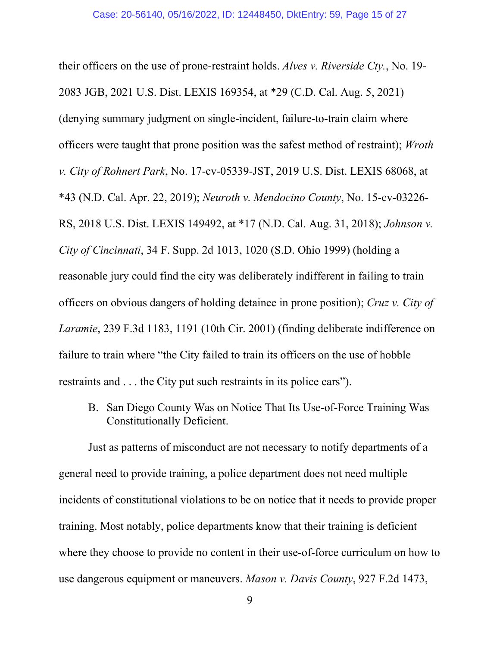their officers on the use of prone-restraint holds. *Alves v. Riverside Cty.*, No. 19- 2083 JGB, 2021 U.S. Dist. LEXIS 169354, at \*29 (C.D. Cal. Aug. 5, 2021) (denying summary judgment on single-incident, failure-to-train claim where officers were taught that prone position was the safest method of restraint); *Wroth v. City of Rohnert Park*, No. 17-cv-05339-JST, 2019 U.S. Dist. LEXIS 68068, at \*43 (N.D. Cal. Apr. 22, 2019); *Neuroth v. Mendocino County*, No. 15-cv-03226- RS, 2018 U.S. Dist. LEXIS 149492, at \*17 (N.D. Cal. Aug. 31, 2018); *Johnson v. City of Cincinnati*, 34 F. Supp. 2d 1013, 1020 (S.D. Ohio 1999) (holding a reasonable jury could find the city was deliberately indifferent in failing to train officers on obvious dangers of holding detainee in prone position); *Cruz v. City of Laramie*, 239 F.3d 1183, 1191 (10th Cir. 2001) (finding deliberate indifference on failure to train where "the City failed to train its officers on the use of hobble restraints and . . . the City put such restraints in its police cars").

<span id="page-14-0"></span>B. San Diego County Was on Notice That Its Use-of-Force Training Was Constitutionally Deficient.

Just as patterns of misconduct are not necessary to notify departments of a general need to provide training, a police department does not need multiple incidents of constitutional violations to be on notice that it needs to provide proper training. Most notably, police departments know that their training is deficient where they choose to provide no content in their use-of-force curriculum on how to use dangerous equipment or maneuvers. *Mason v. Davis County*, 927 F.2d 1473,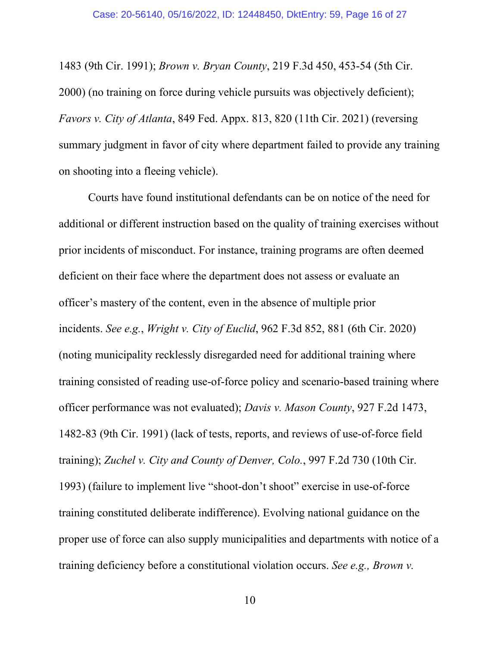1483 (9th Cir. 1991); *Brown v. Bryan County*, 219 F.3d 450, 453-54 (5th Cir. 2000) (no training on force during vehicle pursuits was objectively deficient); *Favors v. City of Atlanta*, 849 Fed. Appx. 813, 820 (11th Cir. 2021) (reversing summary judgment in favor of city where department failed to provide any training on shooting into a fleeing vehicle).

Courts have found institutional defendants can be on notice of the need for additional or different instruction based on the quality of training exercises without prior incidents of misconduct. For instance, training programs are often deemed deficient on their face where the department does not assess or evaluate an officer's mastery of the content, even in the absence of multiple prior incidents. *See e.g.*, *Wright v. City of Euclid*, 962 F.3d 852, 881 (6th Cir. 2020) (noting municipality recklessly disregarded need for additional training where training consisted of reading use-of-force policy and scenario-based training where officer performance was not evaluated); *Davis v. Mason County*, 927 F.2d 1473, 1482-83 (9th Cir. 1991) (lack of tests, reports, and reviews of use-of-force field training); *Zuchel v. City and County of Denver, Colo.*, 997 F.2d 730 (10th Cir. 1993) (failure to implement live "shoot-don't shoot" exercise in use-of-force training constituted deliberate indifference). Evolving national guidance on the proper use of force can also supply municipalities and departments with notice of a training deficiency before a constitutional violation occurs. *See e.g., Brown v.*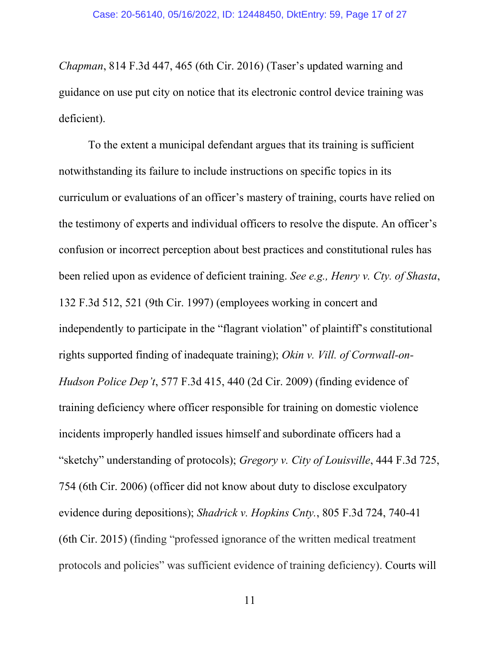*Chapman*, 814 F.3d 447, 465 (6th Cir. 2016) (Taser's updated warning and guidance on use put city on notice that its electronic control device training was deficient).

To the extent a municipal defendant argues that its training is sufficient notwithstanding its failure to include instructions on specific topics in its curriculum or evaluations of an officer's mastery of training, courts have relied on the testimony of experts and individual officers to resolve the dispute. An officer's confusion or incorrect perception about best practices and constitutional rules has been relied upon as evidence of deficient training. *See e.g., Henry v. Cty. of Shasta*, 132 F.3d 512, 521 (9th Cir. 1997) (employees working in concert and independently to participate in the "flagrant violation" of plaintiff's constitutional rights supported finding of inadequate training); *Okin v. Vill. of Cornwall-on-Hudson Police Dep't*, 577 F.3d 415, 440 (2d Cir. 2009) (finding evidence of training deficiency where officer responsible for training on domestic violence incidents improperly handled issues himself and subordinate officers had a "sketchy" understanding of protocols); *Gregory v. City of Louisville*, 444 F.3d 725, 754 (6th Cir. 2006) (officer did not know about duty to disclose exculpatory evidence during depositions); *Shadrick v. Hopkins Cnty.*, 805 F.3d 724, 740-41 (6th Cir. 2015) (finding "professed ignorance of the written medical treatment protocols and policies" was sufficient evidence of training deficiency). Courts will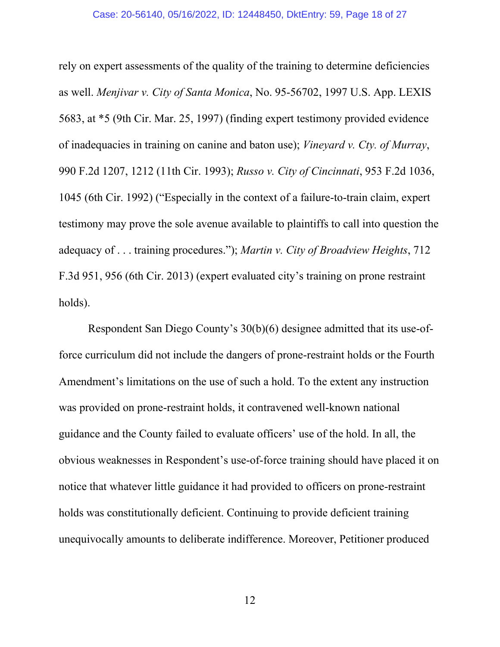rely on expert assessments of the quality of the training to determine deficiencies as well. *Menjivar v. City of Santa Monica*, No. 95-56702, 1997 U.S. App. LEXIS 5683, at \*5 (9th Cir. Mar. 25, 1997) (finding expert testimony provided evidence of inadequacies in training on canine and baton use); *Vineyard v. Cty. of Murray*, 990 F.2d 1207, 1212 (11th Cir. 1993); *Russo v. City of Cincinnati*, 953 F.2d 1036, 1045 (6th Cir. 1992) ("Especially in the context of a failure-to-train claim, expert testimony may prove the sole avenue available to plaintiffs to call into question the adequacy of . . . training procedures."); *Martin v. City of Broadview Heights*, 712 F.3d 951, 956 (6th Cir. 2013) (expert evaluated city's training on prone restraint holds).

Respondent San Diego County's 30(b)(6) designee admitted that its use-offorce curriculum did not include the dangers of prone-restraint holds or the Fourth Amendment's limitations on the use of such a hold. To the extent any instruction was provided on prone-restraint holds, it contravened well-known national guidance and the County failed to evaluate officers' use of the hold. In all, the obvious weaknesses in Respondent's use-of-force training should have placed it on notice that whatever little guidance it had provided to officers on prone-restraint holds was constitutionally deficient. Continuing to provide deficient training unequivocally amounts to deliberate indifference. Moreover, Petitioner produced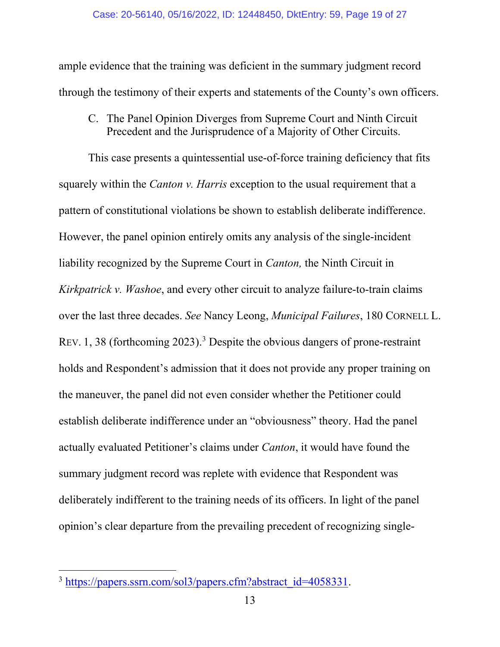ample evidence that the training was deficient in the summary judgment record through the testimony of their experts and statements of the County's own officers.

<span id="page-18-0"></span>C. The Panel Opinion Diverges from Supreme Court and Ninth Circuit Precedent and the Jurisprudence of a Majority of Other Circuits.

This case presents a quintessential use-of-force training deficiency that fits squarely within the *Canton v. Harris* exception to the usual requirement that a pattern of constitutional violations be shown to establish deliberate indifference. However, the panel opinion entirely omits any analysis of the single-incident liability recognized by the Supreme Court in *Canton,* the Ninth Circuit in *Kirkpatrick v. Washoe*, and every other circuit to analyze failure-to-train claims over the last three decades. *See* Nancy Leong, *Municipal Failures*, 180 CORNELL L. REV. 1, 38 (forthcoming 2023). [3](#page-18-1) Despite the obvious dangers of prone-restraint holds and Respondent's admission that it does not provide any proper training on the maneuver, the panel did not even consider whether the Petitioner could establish deliberate indifference under an "obviousness" theory. Had the panel actually evaluated Petitioner's claims under *Canton*, it would have found the summary judgment record was replete with evidence that Respondent was deliberately indifferent to the training needs of its officers. In light of the panel opinion's clear departure from the prevailing precedent of recognizing single-

<span id="page-18-1"></span><sup>&</sup>lt;sup>3</sup> [https://papers.ssrn.com/sol3/papers.cfm?abstract\\_id=4058331.](https://papers.ssrn.com/sol3/papers.cfm?abstract_id=4058331)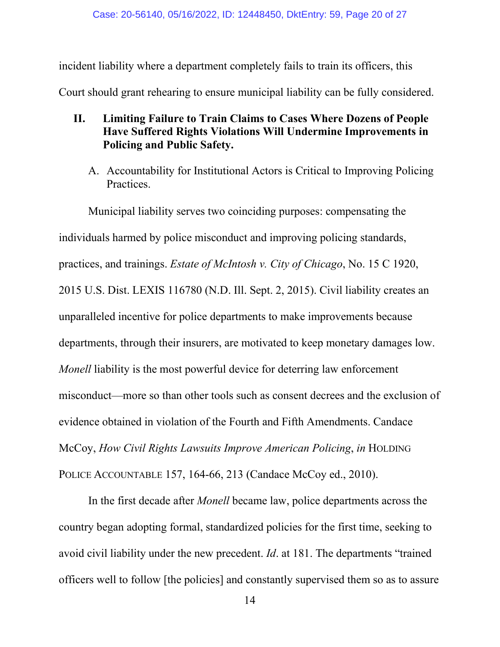incident liability where a department completely fails to train its officers, this Court should grant rehearing to ensure municipal liability can be fully considered.

- <span id="page-19-0"></span>**II. Limiting Failure to Train Claims to Cases Where Dozens of People Have Suffered Rights Violations Will Undermine Improvements in Policing and Public Safety.**
	- A. Accountability for Institutional Actors is Critical to Improving Policing Practices.

<span id="page-19-1"></span>Municipal liability serves two coinciding purposes: compensating the individuals harmed by police misconduct and improving policing standards, practices, and trainings. *Estate of McIntosh v. City of Chicago*, No. 15 C 1920, 2015 U.S. Dist. LEXIS 116780 (N.D. Ill. Sept. 2, 2015). Civil liability creates an unparalleled incentive for police departments to make improvements because departments, through their insurers, are motivated to keep monetary damages low. *Monell* liability is the most powerful device for deterring law enforcement misconduct—more so than other tools such as consent decrees and the exclusion of evidence obtained in violation of the Fourth and Fifth Amendments. Candace McCoy, *How Civil Rights Lawsuits Improve American Policing*, *in* HOLDING POLICE ACCOUNTABLE 157, 164-66, 213 (Candace McCoy ed., 2010).

In the first decade after *Monell* became law, police departments across the country began adopting formal, standardized policies for the first time, seeking to avoid civil liability under the new precedent. *Id*. at 181. The departments "trained officers well to follow [the policies] and constantly supervised them so as to assure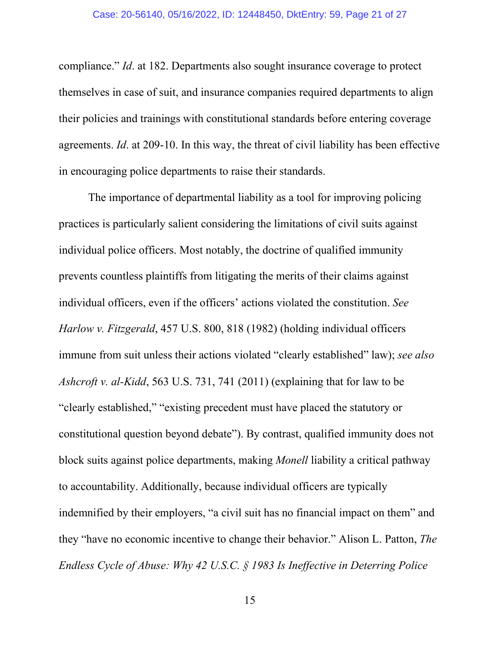compliance." *Id*. at 182. Departments also sought insurance coverage to protect themselves in case of suit, and insurance companies required departments to align their policies and trainings with constitutional standards before entering coverage agreements. *Id*. at 209-10. In this way, the threat of civil liability has been effective in encouraging police departments to raise their standards.

The importance of departmental liability as a tool for improving policing practices is particularly salient considering the limitations of civil suits against individual police officers. Most notably, the doctrine of qualified immunity prevents countless plaintiffs from litigating the merits of their claims against individual officers, even if the officers' actions violated the constitution. *See Harlow v. Fitzgerald*, 457 U.S. 800, 818 (1982) (holding individual officers immune from suit unless their actions violated "clearly established" law); *see also Ashcroft v. al-Kidd*, 563 U.S. 731, 741 (2011) (explaining that for law to be "clearly established," "existing precedent must have placed the statutory or constitutional question beyond debate"). By contrast, qualified immunity does not block suits against police departments, making *Monell* liability a critical pathway to accountability. Additionally, because individual officers are typically indemnified by their employers, "a civil suit has no financial impact on them" and they "have no economic incentive to change their behavior." Alison L. Patton, *The Endless Cycle of Abuse: Why 42 U.S.C. § 1983 Is Ineffective in Deterring Police*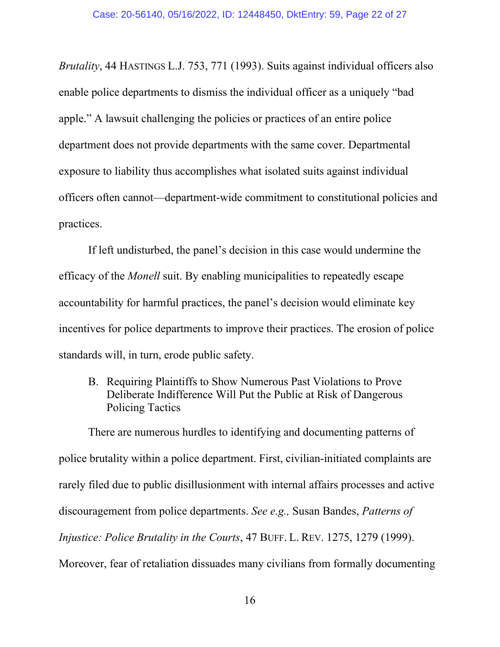*Brutality*, 44 HASTINGS L.J. 753, 771 (1993). Suits against individual officers also enable police departments to dismiss the individual officer as a uniquely "bad apple." A lawsuit challenging the policies or practices of an entire police department does not provide departments with the same cover. Departmental exposure to liability thus accomplishes what isolated suits against individual officers often cannot—department-wide commitment to constitutional policies and practices.

If left undisturbed, the panel's decision in this case would undermine the efficacy of the *Monell* suit. By enabling municipalities to repeatedly escape accountability for harmful practices, the panel's decision would eliminate key incentives for police departments to improve their practices. The erosion of police standards will, in turn, erode public safety.

<span id="page-21-0"></span>B. Requiring Plaintiffs to Show Numerous Past Violations to Prove Deliberate Indifference Will Put the Public at Risk of Dangerous Policing Tactics

There are numerous hurdles to identifying and documenting patterns of police brutality within a police department. First, civilian-initiated complaints are rarely filed due to public disillusionment with internal affairs processes and active discouragement from police departments. *See e.g.,* Susan Bandes, *Patterns of Injustice: Police Brutality in the Courts*, 47 BUFF. L. REV. 1275, 1279 (1999). Moreover, fear of retaliation dissuades many civilians from formally documenting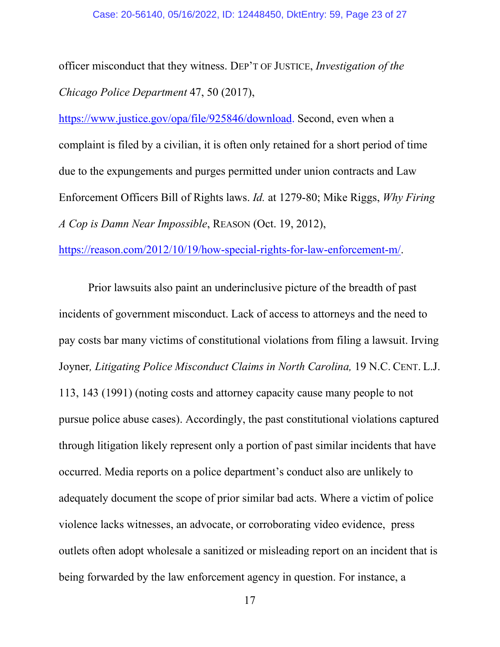officer misconduct that they witness. DEP'T OF JUSTICE, *Investigation of the Chicago Police Department* 47, 50 (2017),

[https://www.justice.gov/opa/file/925846/download.](https://www.justice.gov/opa/file/925846/download) Second, even when a complaint is filed by a civilian, it is often only retained for a short period of time due to the expungements and purges permitted under union contracts and Law Enforcement Officers Bill of Rights laws. *Id.* at 1279-80; Mike Riggs, *Why Firing A Cop is Damn Near Impossible*, REASON (Oct. 19, 2012),

[https://reason.com/2012/10/19/how-special-rights-for-law-enforcement-m/.](https://reason.com/2012/10/19/how-special-rights-for-law-enforcement-m/)

Prior lawsuits also paint an underinclusive picture of the breadth of past incidents of government misconduct. Lack of access to attorneys and the need to pay costs bar many victims of constitutional violations from filing a lawsuit. Irving Joyner*, Litigating Police Misconduct Claims in North Carolina,* 19 N.C. CENT. L.J. 113, 143 (1991) (noting costs and attorney capacity cause many people to not pursue police abuse cases). Accordingly, the past constitutional violations captured through litigation likely represent only a portion of past similar incidents that have occurred. Media reports on a police department's conduct also are unlikely to adequately document the scope of prior similar bad acts. Where a victim of police violence lacks witnesses, an advocate, or corroborating video evidence, press outlets often adopt wholesale a sanitized or misleading report on an incident that is being forwarded by the law enforcement agency in question. For instance, a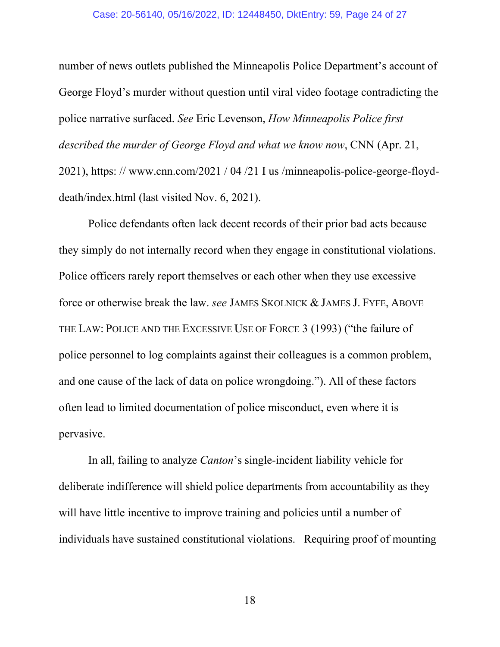#### Case: 20-56140, 05/16/2022, ID: 12448450, DktEntry: 59, Page 24 of 27

number of news outlets published the Minneapolis Police Department's account of George Floyd's murder without question until viral video footage contradicting the police narrative surfaced. *See* Eric Levenson, *How Minneapolis Police first described the murder of George Floyd and what we know now*, CNN (Apr. 21, 2021), https: // www.cnn.com/2021 / 04 /21 I us /minneapolis-police-george-floyddeath/index.html (last visited Nov. 6, 2021).

Police defendants often lack decent records of their prior bad acts because they simply do not internally record when they engage in constitutional violations. Police officers rarely report themselves or each other when they use excessive force or otherwise break the law. *see* JAMES SKOLNICK & JAMES J. FYFE, ABOVE THE LAW: POLICE AND THE EXCESSIVE USE OF FORCE 3 (1993) ("the failure of police personnel to log complaints against their colleagues is a common problem, and one cause of the lack of data on police wrongdoing."). All of these factors often lead to limited documentation of police misconduct, even where it is pervasive.

In all, failing to analyze *Canton*'s single-incident liability vehicle for deliberate indifference will shield police departments from accountability as they will have little incentive to improve training and policies until a number of individuals have sustained constitutional violations. Requiring proof of mounting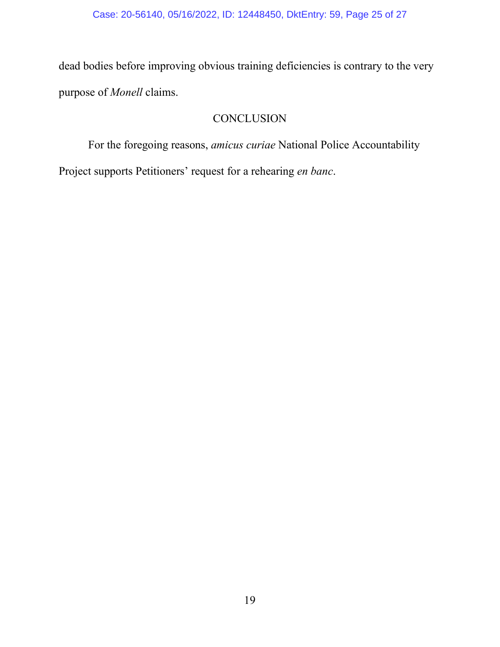dead bodies before improving obvious training deficiencies is contrary to the very purpose of *Monell* claims.

## **CONCLUSION**

<span id="page-24-0"></span>For the foregoing reasons, *amicus curiae* National Police Accountability

Project supports Petitioners' request for a rehearing *en banc*.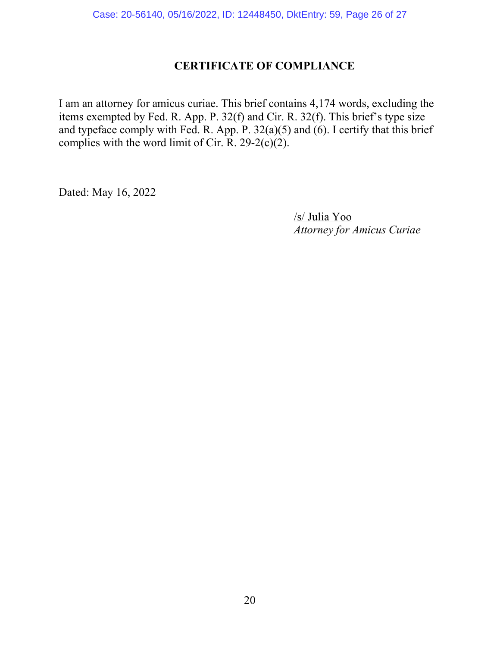## **CERTIFICATE OF COMPLIANCE**

I am an attorney for amicus curiae. This brief contains 4,174 words, excluding the items exempted by Fed. R. App. P. 32(f) and Cir. R. 32(f). This brief's type size and typeface comply with Fed. R. App. P.  $32(a)(5)$  and (6). I certify that this brief complies with the word limit of Cir. R. 29-2(c)(2).

Dated: May 16, 2022

 /s/ Julia Yoo *Attorney for Amicus Curiae*